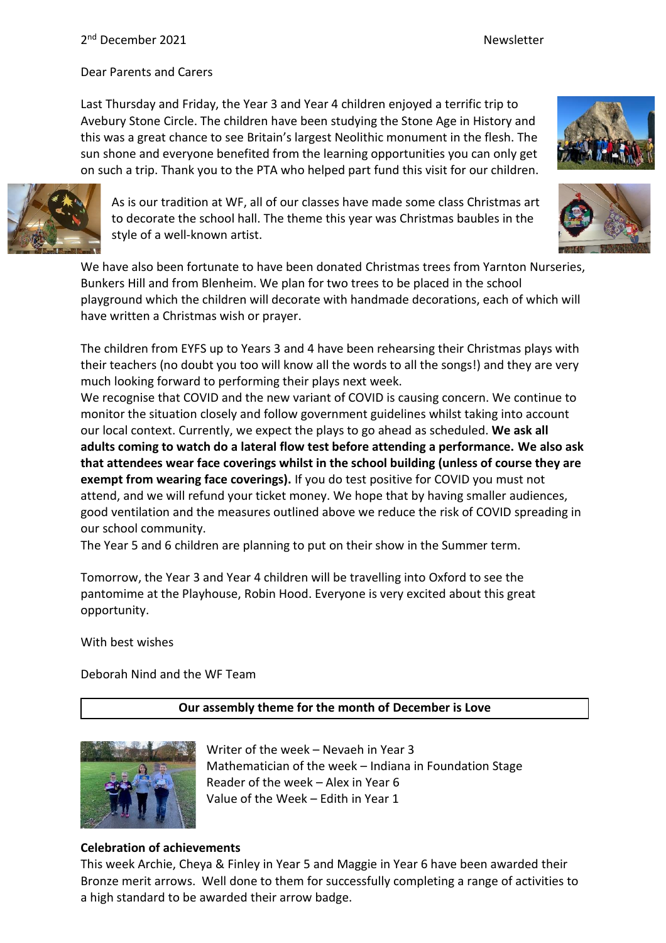## 2<sup>nd</sup> December 2021 and the settlement of the settlement of the Newsletter

Dear Parents and Carers

Last Thursday and Friday, the Year 3 and Year 4 children enjoyed a terrific trip to Avebury Stone Circle. The children have been studying the Stone Age in History and this was a great chance to see Britain's largest Neolithic monument in the flesh. The sun shone and everyone benefited from the learning opportunities you can only get on such a trip. Thank you to the PTA who helped part fund this visit for our children.



As is our tradition at WF, all of our classes have made some class Christmas art to decorate the school hall. The theme this year was Christmas baubles in the style of a well-known artist.

We have also been fortunate to have been donated Christmas trees from Yarnton Nurseries, Bunkers Hill and from Blenheim. We plan for two trees to be placed in the school playground which the children will decorate with handmade decorations, each of which will have written a Christmas wish or prayer.

The children from EYFS up to Years 3 and 4 have been rehearsing their Christmas plays with their teachers (no doubt you too will know all the words to all the songs!) and they are very much looking forward to performing their plays next week.

We recognise that COVID and the new variant of COVID is causing concern. We continue to monitor the situation closely and follow government guidelines whilst taking into account our local context. Currently, we expect the plays to go ahead as scheduled. **We ask all adults coming to watch do a lateral flow test before attending a performance. We also ask that attendees wear face coverings whilst in the school building (unless of course they are exempt from wearing face coverings).** If you do test positive for COVID you must not attend, and we will refund your ticket money. We hope that by having smaller audiences, good ventilation and the measures outlined above we reduce the risk of COVID spreading in our school community.

The Year 5 and 6 children are planning to put on their show in the Summer term.

Tomorrow, the Year 3 and Year 4 children will be travelling into Oxford to see the pantomime at the Playhouse, Robin Hood. Everyone is very excited about this great opportunity.

With best wishes

Deborah Nind and the WF Team

#### **Our assembly theme for the month of December is Love**



Writer of the week – Nevaeh in Year 3 Mathematician of the week – Indiana in Foundation Stage Reader of the week – Alex in Year 6 Value of the Week – Edith in Year 1

#### **Celebration of achievements**

This week Archie, Cheya & Finley in Year 5 and Maggie in Year 6 have been awarded their Bronze merit arrows. Well done to them for successfully completing a range of activities to a high standard to be awarded their arrow badge.



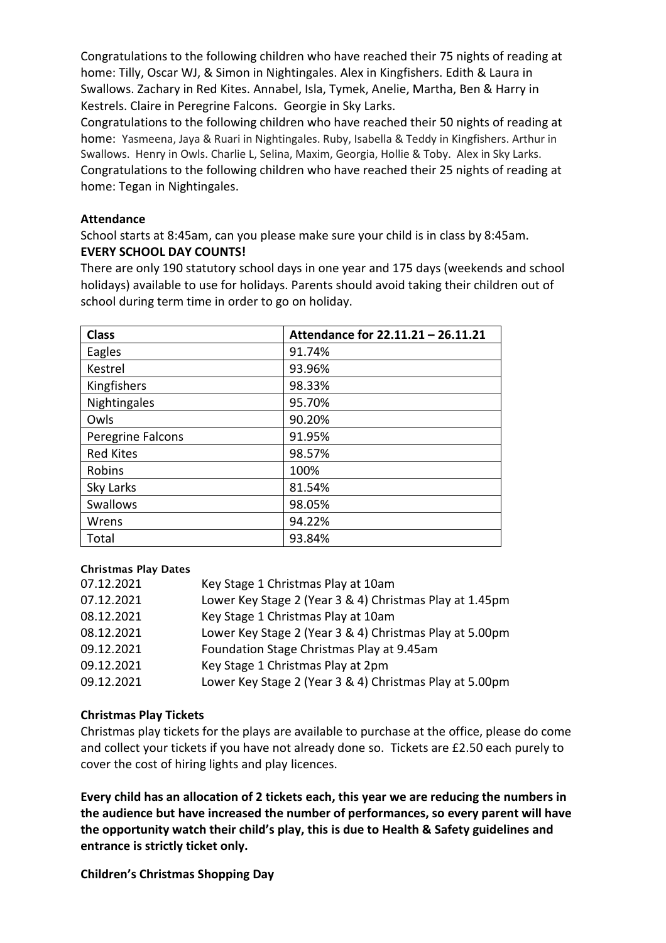Congratulations to the following children who have reached their 75 nights of reading at home: Tilly, Oscar WJ, & Simon in Nightingales. Alex in Kingfishers. Edith & Laura in Swallows. Zachary in Red Kites. Annabel, Isla, Tymek, Anelie, Martha, Ben & Harry in Kestrels. Claire in Peregrine Falcons. Georgie in Sky Larks.

Congratulations to the following children who have reached their 50 nights of reading at home: Yasmeena, Jaya & Ruari in Nightingales. Ruby, Isabella & Teddy in Kingfishers. Arthur in Swallows. Henry in Owls. Charlie L, Selina, Maxim, Georgia, Hollie & Toby. Alex in Sky Larks. Congratulations to the following children who have reached their 25 nights of reading at home: Tegan in Nightingales.

#### **Attendance**

School starts at 8:45am, can you please make sure your child is in class by 8:45am. **EVERY SCHOOL DAY COUNTS!**

There are only 190 statutory school days in one year and 175 days (weekends and school holidays) available to use for holidays. Parents should avoid taking their children out of school during term time in order to go on holiday.

| <b>Class</b>      | Attendance for 22.11.21 - 26.11.21 |
|-------------------|------------------------------------|
| Eagles            | 91.74%                             |
| Kestrel           | 93.96%                             |
| Kingfishers       | 98.33%                             |
| Nightingales      | 95.70%                             |
| Owls              | 90.20%                             |
| Peregrine Falcons | 91.95%                             |
| <b>Red Kites</b>  | 98.57%                             |
| Robins            | 100%                               |
| Sky Larks         | 81.54%                             |
| <b>Swallows</b>   | 98.05%                             |
| Wrens             | 94.22%                             |
| Total             | 93.84%                             |

#### Christmas Play Dates

| 07.12.2021 | Key Stage 1 Christmas Play at 10am                      |
|------------|---------------------------------------------------------|
| 07.12.2021 | Lower Key Stage 2 (Year 3 & 4) Christmas Play at 1.45pm |
| 08.12.2021 | Key Stage 1 Christmas Play at 10am                      |
| 08.12.2021 | Lower Key Stage 2 (Year 3 & 4) Christmas Play at 5.00pm |
| 09.12.2021 | Foundation Stage Christmas Play at 9.45am               |
| 09.12.2021 | Key Stage 1 Christmas Play at 2pm                       |
| 09.12.2021 | Lower Key Stage 2 (Year 3 & 4) Christmas Play at 5.00pm |

#### **Christmas Play Tickets**

Christmas play tickets for the plays are available to purchase at the office, please do come and collect your tickets if you have not already done so. Tickets are £2.50 each purely to cover the cost of hiring lights and play licences.

**Every child has an allocation of 2 tickets each, this year we are reducing the numbers in the audience but have increased the number of performances, so every parent will have the opportunity watch their child's play, this is due to Health & Safety guidelines and entrance is strictly ticket only.**

**Children's Christmas Shopping Day**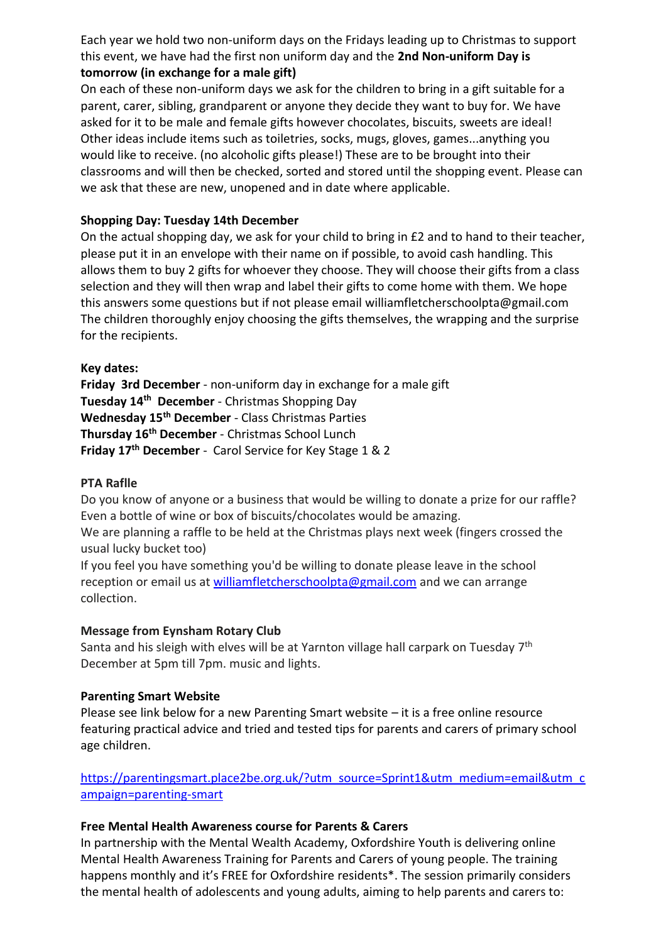Each year we hold two non-uniform days on the Fridays leading up to Christmas to support this event, we have had the first non uniform day and the **2nd Non-uniform Day is tomorrow (in exchange for a male gift)** 

On each of these non-uniform days we ask for the children to bring in a gift suitable for a parent, carer, sibling, grandparent or anyone they decide they want to buy for. We have asked for it to be male and female gifts however chocolates, biscuits, sweets are ideal! Other ideas include items such as toiletries, socks, mugs, gloves, games...anything you would like to receive. (no alcoholic gifts please!) These are to be brought into their classrooms and will then be checked, sorted and stored until the shopping event. Please can we ask that these are new, unopened and in date where applicable.

## **Shopping Day: Tuesday 14th December**

On the actual shopping day, we ask for your child to bring in £2 and to hand to their teacher, please put it in an envelope with their name on if possible, to avoid cash handling. This allows them to buy 2 gifts for whoever they choose. They will choose their gifts from a class selection and they will then wrap and label their gifts to come home with them. We hope this answers some questions but if not please email williamfletcherschoolpta@gmail.com The children thoroughly enjoy choosing the gifts themselves, the wrapping and the surprise for the recipients.

#### **Key dates:**

**Friday 3rd December** - non-uniform day in exchange for a male gift **Tuesday 14th December** - Christmas Shopping Day **Wednesday 15th December** - Class Christmas Parties **Thursday 16th December** - Christmas School Lunch **Friday 17th December** - Carol Service for Key Stage 1 & 2

## **PTA Raflle**

Do you know of anyone or a business that would be willing to donate a prize for our raffle? Even a bottle of wine or box of biscuits/chocolates would be amazing.

We are planning a raffle to be held at the Christmas plays next week (fingers crossed the usual lucky bucket too)

If you feel you have something you'd be willing to donate please leave in the school reception or email us at [williamfletcherschoolpta@gmail.com](mailto:williamfletcherschoolpta@gmail.com) and we can arrange collection.

## **Message from Eynsham Rotary Club**

Santa and his sleigh with elves will be at Yarnton village hall carpark on Tuesday  $7^{\rm th}$ December at 5pm till 7pm. music and lights.

## **Parenting Smart Website**

Please see link below for a new Parenting Smart website – it is a free online resource featuring practical advice and tried and tested tips for parents and carers of primary school age children.

[https://parentingsmart.place2be.org.uk/?utm\\_source=Sprint1&utm\\_medium=email&utm\\_c](https://parentingsmart.place2be.org.uk/?utm_source=Sprint1&utm_medium=email&utm_campaign=parenting-smart) [ampaign=parenting-smart](https://parentingsmart.place2be.org.uk/?utm_source=Sprint1&utm_medium=email&utm_campaign=parenting-smart)

#### **Free Mental Health Awareness course for Parents & Carers**

In partnership with the Mental Wealth Academy, Oxfordshire Youth is delivering online Mental Health Awareness Training for Parents and Carers of young people. The training happens monthly and it's FREE for Oxfordshire residents\*. The session primarily considers the mental health of adolescents and young adults, aiming to help parents and carers to: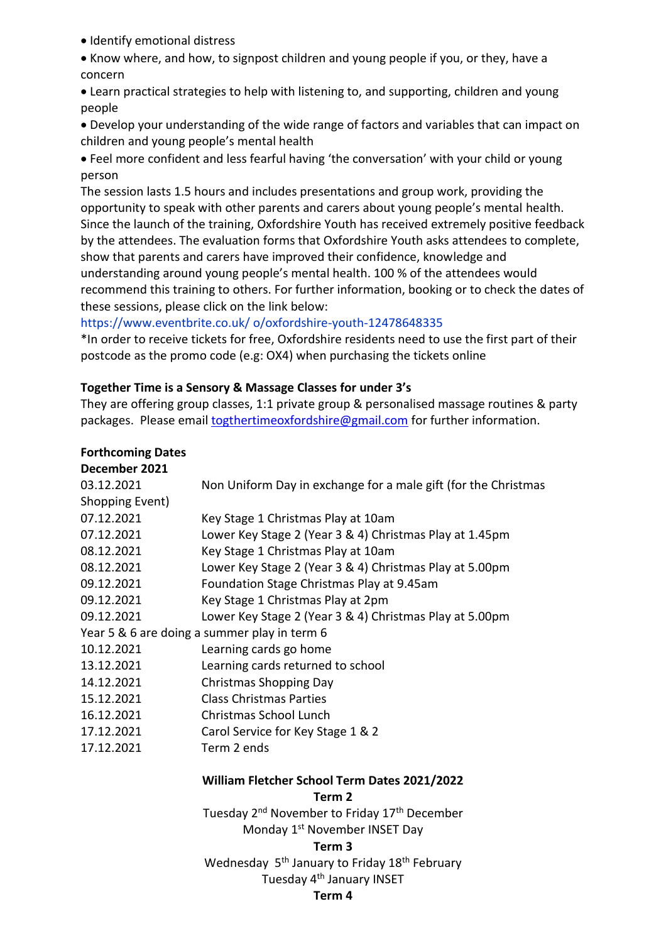• Identify emotional distress

• Know where, and how, to signpost children and young people if you, or they, have a concern

• Learn practical strategies to help with listening to, and supporting, children and young people

• Develop your understanding of the wide range of factors and variables that can impact on children and young people's mental health

• Feel more confident and less fearful having 'the conversation' with your child or young person

The session lasts 1.5 hours and includes presentations and group work, providing the opportunity to speak with other parents and carers about young people's mental health. Since the launch of the training, Oxfordshire Youth has received extremely positive feedback by the attendees. The evaluation forms that Oxfordshire Youth asks attendees to complete, show that parents and carers have improved their confidence, knowledge and understanding around young people's mental health. 100 % of the attendees would recommend this training to others. For further information, booking or to check the dates of these sessions, please click on the link below:

## https://www.eventbrite.co.uk/ o/oxfordshire-youth-12478648335

\*In order to receive tickets for free, Oxfordshire residents need to use the first part of their postcode as the promo code (e.g: OX4) when purchasing the tickets online

## **Together Time is a Sensory & Massage Classes for under 3's**

They are offering group classes, 1:1 private group & personalised massage routines & party packages. Please emai[l togthertimeoxfordshire@gmail.com](mailto:togthertimeoxfordshire@gmail.com) for further information.

## **Forthcoming Dates**

| December 2021                                |                                                                |
|----------------------------------------------|----------------------------------------------------------------|
| 03.12.2021                                   | Non Uniform Day in exchange for a male gift (for the Christmas |
| Shopping Event)                              |                                                                |
| 07.12.2021                                   | Key Stage 1 Christmas Play at 10am                             |
| 07.12.2021                                   | Lower Key Stage 2 (Year 3 & 4) Christmas Play at 1.45pm        |
| 08.12.2021                                   | Key Stage 1 Christmas Play at 10am                             |
| 08.12.2021                                   | Lower Key Stage 2 (Year 3 & 4) Christmas Play at 5.00pm        |
| 09.12.2021                                   | Foundation Stage Christmas Play at 9.45am                      |
| 09.12.2021                                   | Key Stage 1 Christmas Play at 2pm                              |
| 09.12.2021                                   | Lower Key Stage 2 (Year 3 & 4) Christmas Play at 5.00pm        |
| Year 5 & 6 are doing a summer play in term 6 |                                                                |
| 10.12.2021                                   | Learning cards go home                                         |
| 13.12.2021                                   | Learning cards returned to school                              |
| 14.12.2021                                   | Christmas Shopping Day                                         |
| 15.12.2021                                   | <b>Class Christmas Parties</b>                                 |
| 16.12.2021                                   | Christmas School Lunch                                         |
| 17.12.2021                                   | Carol Service for Key Stage 1 & 2                              |
| 17.12.2021                                   | Term 2 ends                                                    |
|                                              | William Fletcher School Term Dates 2021/2022                   |

**Term 2**

Tuesday 2<sup>nd</sup> November to Friday 17<sup>th</sup> December Monday 1st November INSET Day

#### **Term 3**

Wednesday 5<sup>th</sup> January to Friday 18<sup>th</sup> February

# Tuesday 4<sup>th</sup> January INSET